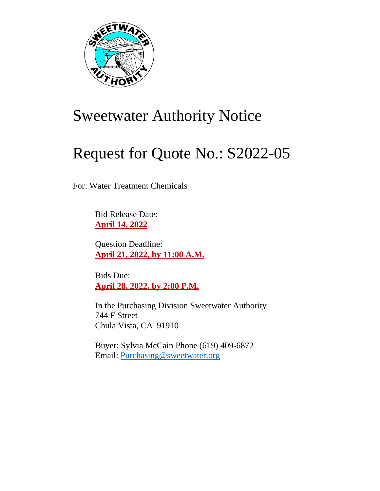

# Sweetwater Authority Notice

# Request for Quote No.: S2022-05

For: Water Treatment Chemicals

Bid Release Date: **April 14, 2022**

Question Deadline: **April 21, 2022, by 11:00 A.M.**

Bids Due: **April 28, 2022, by 2:00 P.M.**

In the Purchasing Division Sweetwater Authority 744 F Street Chula Vista, CA 91910

Buyer: Sylvia McCain Phone (619) 409-6872 Email: [Purchasing@sweetwater.org](mailto:Purchasing@sweetwater.org)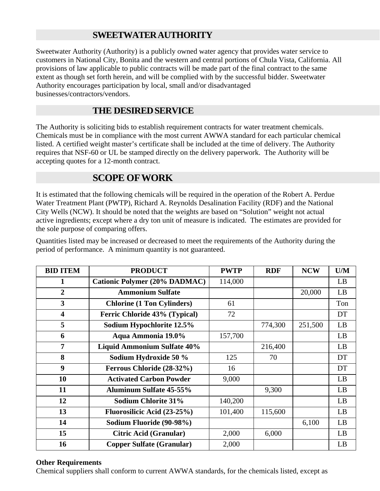# **SWEETWATERAUTHORITY**

Sweetwater Authority (Authority) is a publicly owned water agency that provides water service to customers in National City, Bonita and the western and central portions of Chula Vista, California. All provisions of law applicable to public contracts will be made part of the final contract to the same extent as though set forth herein, and will be complied with by the successful bidder. Sweetwater Authority encourages participation by local, small and/or disadvantaged businesses/contractors/vendors.

# **THE DESIREDSERVICE**

The Authority is soliciting bids to establish requirement contracts for water treatment chemicals. Chemicals must be in compliance with the most current AWWA standard for each particular chemical listed. A certified weight master's certificate shall be included at the time of delivery. The Authority requires that NSF-60 or UL be stamped directly on the delivery paperwork. The Authority will be accepting quotes for a 12-month contract.

# **SCOPE OFWORK**

It is estimated that the following chemicals will be required in the operation of the Robert A. Perdue Water Treatment Plant (PWTP), Richard A. Reynolds Desalination Facility (RDF) and the National City Wells (NCW). It should be noted that the weights are based on "Solution" weight not actual active ingredients; except where a dry ton unit of measure is indicated. The estimates are provided for the sole purpose of comparing offers.

Quantities listed may be increased or decreased to meet the requirements of the Authority during the period of performance. A minimum quantity is not guaranteed.

| <b>BID ITEM</b>         | <b>PRODUCT</b>                       | <b>PWTP</b> | <b>RDF</b> | <b>NCW</b> | U/M |
|-------------------------|--------------------------------------|-------------|------------|------------|-----|
| 1                       | <b>Cationic Polymer (20% DADMAC)</b> | 114,000     |            |            | LB  |
| $\overline{2}$          | <b>Ammonium Sulfate</b>              |             |            | 20,000     | LB  |
| 3                       | <b>Chlorine (1 Ton Cylinders)</b>    | 61          |            |            | Ton |
| $\overline{\mathbf{4}}$ | Ferric Chloride 43% (Typical)        | 72          |            |            | DT  |
| 5                       | Sodium Hypochlorite 12.5%            |             | 774,300    | 251,500    | LB  |
| 6                       | Aqua Ammonia 19.0%                   | 157,700     |            |            | LB  |
| $\overline{7}$          | <b>Liquid Ammonium Sulfate 40%</b>   |             | 216,400    |            | LB  |
| 8                       | Sodium Hydroxide 50 %                | 125         | 70         |            | DT  |
| 9                       | Ferrous Chloride (28-32%)            | 16          |            |            | DT  |
| 10                      | <b>Activated Carbon Powder</b>       | 9,000       |            |            | LB  |
| 11                      | <b>Aluminum Sulfate 45-55%</b>       |             | 9,300      |            | LB  |
| 12                      | <b>Sodium Chlorite 31%</b>           | 140,200     |            |            | LB  |
| 13                      | Fluorosilicic Acid (23-25%)          | 101,400     | 115,600    |            | LB  |
| 14                      | Sodium Fluoride (90-98%)             |             |            | 6,100      | LB  |
| 15                      | <b>Citric Acid (Granular)</b>        | 2,000       | 6,000      |            | LB  |
| 16                      | <b>Copper Sulfate (Granular)</b>     | 2,000       |            |            | LB  |

#### **Other Requirements**

Chemical suppliers shall conform to current AWWA standards, for the chemicals listed, except as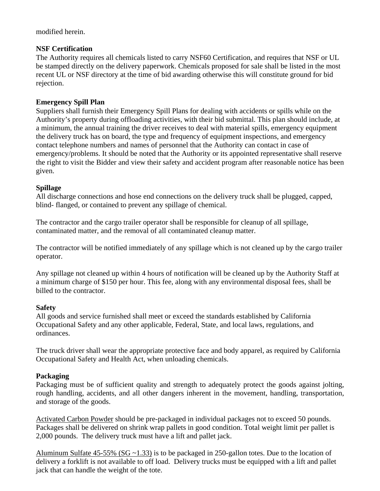modified herein.

### **NSF Certification**

The Authority requires all chemicals listed to carry NSF60 Certification, and requires that NSF or UL be stamped directly on the delivery paperwork. Chemicals proposed for sale shall be listed in the most recent UL or NSF directory at the time of bid awarding otherwise this will constitute ground for bid rejection.

# **Emergency Spill Plan**

Suppliers shall furnish their Emergency Spill Plans for dealing with accidents or spills while on the Authority's property during offloading activities, with their bid submittal. This plan should include, at a minimum, the annual training the driver receives to deal with material spills, emergency equipment the delivery truck has on board, the type and frequency of equipment inspections, and emergency contact telephone numbers and names of personnel that the Authority can contact in case of emergency/problems. It should be noted that the Authority or its appointed representative shall reserve the right to visit the Bidder and view their safety and accident program after reasonable notice has been given.

# **Spillage**

All discharge connections and hose end connections on the delivery truck shall be plugged, capped, blind- flanged, or contained to prevent any spillage of chemical.

The contractor and the cargo trailer operator shall be responsible for cleanup of all spillage, contaminated matter, and the removal of all contaminated cleanup matter.

The contractor will be notified immediately of any spillage which is not cleaned up by the cargo trailer operator.

Any spillage not cleaned up within 4 hours of notification will be cleaned up by the Authority Staff at a minimum charge of \$150 per hour. This fee, along with any environmental disposal fees, shall be billed to the contractor.

# **Safety**

All goods and service furnished shall meet or exceed the standards established by California Occupational Safety and any other applicable, Federal, State, and local laws, regulations, and ordinances.

The truck driver shall wear the appropriate protective face and body apparel, as required by California Occupational Safety and Health Act, when unloading chemicals.

# **Packaging**

Packaging must be of sufficient quality and strength to adequately protect the goods against jolting, rough handling, accidents, and all other dangers inherent in the movement, handling, transportation, and storage of the goods.

Activated Carbon Powder should be pre-packaged in individual packages not to exceed 50 pounds. Packages shall be delivered on shrink wrap pallets in good condition. Total weight limit per pallet is 2,000 pounds. The delivery truck must have a lift and pallet jack.

Aluminum Sulfate 45-55% (SG ~1.33) is to be packaged in 250-gallon totes. Due to the location of delivery a forklift is not available to off load. Delivery trucks must be equipped with a lift and pallet jack that can handle the weight of the tote.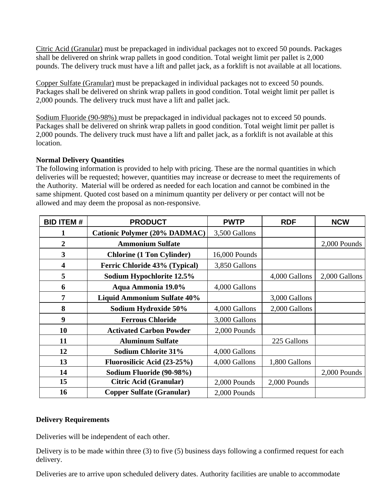Citric Acid (Granular) must be prepackaged in individual packages not to exceed 50 pounds. Packages shall be delivered on shrink wrap pallets in good condition. Total weight limit per pallet is 2,000 pounds. The delivery truck must have a lift and pallet jack, as a forklift is not available at all locations.

Copper Sulfate (Granular) must be prepackaged in individual packages not to exceed 50 pounds. Packages shall be delivered on shrink wrap pallets in good condition. Total weight limit per pallet is 2,000 pounds. The delivery truck must have a lift and pallet jack.

Sodium Fluoride (90-98%) must be prepackaged in individual packages not to exceed 50 pounds. Packages shall be delivered on shrink wrap pallets in good condition. Total weight limit per pallet is 2,000 pounds. The delivery truck must have a lift and pallet jack, as a forklift is not available at this location.

# **Normal Delivery Quantities**

The following information is provided to help with pricing. These are the normal quantities in which deliveries will be requested; however, quantities may increase or decrease to meet the requirements of the Authority. Material will be ordered as needed for each location and cannot be combined in the same shipment. Quoted cost based on a minimum quantity per delivery or per contact will not be allowed and may deem the proposal as non-responsive.

| <b>BID ITEM#</b> | <b>PRODUCT</b>                       | <b>PWTP</b>   | <b>RDF</b>    | <b>NCW</b>    |
|------------------|--------------------------------------|---------------|---------------|---------------|
|                  | <b>Cationic Polymer (20% DADMAC)</b> | 3,500 Gallons |               |               |
| $\overline{2}$   | <b>Ammonium Sulfate</b>              |               |               | 2,000 Pounds  |
| 3                | <b>Chlorine (1 Ton Cylinder)</b>     | 16,000 Pounds |               |               |
| 4                | Ferric Chloride 43% (Typical)        | 3,850 Gallons |               |               |
| 5                | Sodium Hypochlorite 12.5%            |               | 4,000 Gallons | 2,000 Gallons |
| 6                | Aqua Ammonia 19.0%                   | 4,000 Gallons |               |               |
| 7                | <b>Liquid Ammonium Sulfate 40%</b>   |               | 3,000 Gallons |               |
| 8                | Sodium Hydroxide 50%                 | 4,000 Gallons | 2,000 Gallons |               |
| 9                | <b>Ferrous Chloride</b>              | 3,000 Gallons |               |               |
| 10               | <b>Activated Carbon Powder</b>       | 2,000 Pounds  |               |               |
| 11               | <b>Aluminum Sulfate</b>              |               | 225 Gallons   |               |
| 12               | <b>Sodium Chlorite 31%</b>           | 4,000 Gallons |               |               |
| 13               | Fluorosilicic Acid (23-25%)          | 4,000 Gallons | 1,800 Gallons |               |
| 14               | Sodium Fluoride (90-98%)             |               |               | 2,000 Pounds  |
| 15               | Citric Acid (Granular)               | 2,000 Pounds  | 2,000 Pounds  |               |
| 16               | <b>Copper Sulfate (Granular)</b>     | 2,000 Pounds  |               |               |

#### **Delivery Requirements**

Deliveries will be independent of each other.

Delivery is to be made within three (3) to five (5) business days following a confirmed request for each delivery.

Deliveries are to arrive upon scheduled delivery dates. Authority facilities are unable to accommodate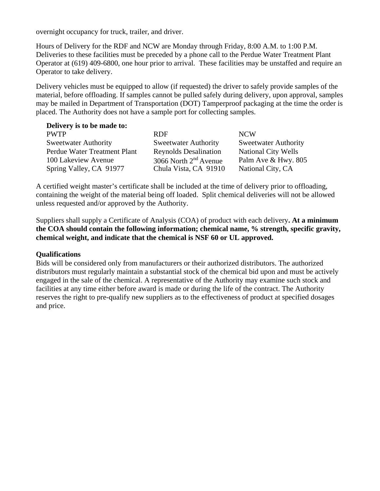overnight occupancy for truck, trailer, and driver.

Hours of Delivery for the RDF and NCW are Monday through Friday, 8:00 A.M. to 1:00 P.M. Deliveries to these facilities must be preceded by a phone call to the Perdue Water Treatment Plant Operator at (619) 409-6800, one hour prior to arrival. These facilities may be unstaffed and require an Operator to take delivery.

Delivery vehicles must be equipped to allow (if requested) the driver to safely provide samples of the material, before offloading. If samples cannot be pulled safely during delivery, upon approval, samples may be mailed in Department of Transportation (DOT) Tamperproof packaging at the time the order is placed. The Authority does not have a sample port for collecting samples.

| Delivery is to be made to:   |                              |                             |
|------------------------------|------------------------------|-----------------------------|
| <b>PWTP</b>                  | <b>RDF</b>                   | <b>NCW</b>                  |
| <b>Sweetwater Authority</b>  | <b>Sweetwater Authority</b>  | <b>Sweetwater Authority</b> |
| Perdue Water Treatment Plant | <b>Reynolds Desalination</b> | <b>National City Wells</b>  |
| 100 Lakeview Avenue          | 3066 North $2nd$ Avenue      | Palm Ave & Hwy. 805         |
| Spring Valley, CA 91977      | Chula Vista, CA 91910        | National City, CA           |

A certified weight master's certificate shall be included at the time of delivery prior to offloading, containing the weight of the material being off loaded. Split chemical deliveries will not be allowed unless requested and/or approved by the Authority.

Suppliers shall supply a Certificate of Analysis (COA) of product with each delivery**. At a minimum the COA should contain the following information; chemical name, % strength, specific gravity, chemical weight, and indicate that the chemical is NSF 60 or UL approved.**

#### **Qualifications**

Bids will be considered only from manufacturers or their authorized distributors. The authorized distributors must regularly maintain a substantial stock of the chemical bid upon and must be actively engaged in the sale of the chemical. A representative of the Authority may examine such stock and facilities at any time either before award is made or during the life of the contract. The Authority reserves the right to pre-qualify new suppliers as to the effectiveness of product at specified dosages and price.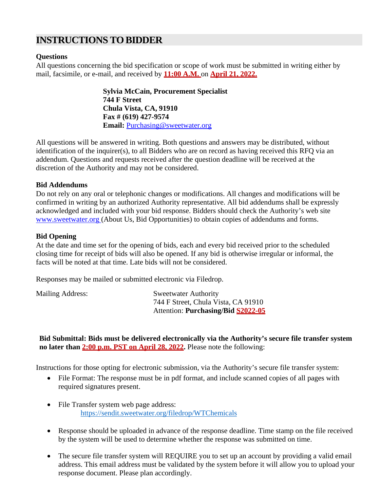# **INSTRUCTIONS TOBIDDER**

#### **Questions**

All questions concerning the bid specification or scope of work must be submitted in writing either by mail, facsimile, or e-mail, and received by **11:00 A.M.** on **April 21, 2022.**

> **Sylvia McCain, Procurement Specialist 744 F Street Chula Vista, CA, 91910 Fax # (619) 427-9574 Email:** [Purchasing@sweetwat](mailto:smccain@sweetwater.org)er.org

All questions will be answered in writing. Both questions and answers may be distributed, without identification of the inquirer(s), to all Bidders who are on record as having received this RFQ via an addendum. Questions and requests received after the question deadline will be received at the discretion of the Authority and may not be considered.

#### **Bid Addendums**

Do not rely on any oral or telephonic changes or modifications. All changes and modifications will be confirmed in writing by an authorized Authority representative. All bid addendums shall be expressly acknowledged and included with your bid response. Bidders should check the Authority's web site [www.sweetwater.org \(](http://www.sweetwater.org/)About Us, Bid Opportunities) to obtain copies of addendums and forms.

#### **Bid Opening**

At the date and time set for the opening of bids, each and every bid received prior to the scheduled closing time for receipt of bids will also be opened. If any bid is otherwise irregular or informal, the facts will be noted at that time. Late bids will not be considered.

Responses may be mailed or submitted electronic via Filedrop.

Mailing Address: Sweetwater Authority

744 F Street, Chula Vista, CA 91910 Attention: **Purchasing/Bid S2022-05**

**Bid Submittal: Bids must be delivered electronically via the Authority's secure file transfer system no later than 2:00 p.m. PST on April 28, 2022.** Please note the following:

Instructions for those opting for electronic submission, via the Authority's secure file transfer system:

- File Format: The response must be in pdf format, and include scanned copies of all pages with required signatures present.
- File Transfer system web page address: <https://sendit.sweetwater.org/filedrop/WTChemicals>
- Response should be uploaded in advance of the response deadline. Time stamp on the file received by the system will be used to determine whether the response was submitted on time.
- The secure file transfer system will REQUIRE you to set up an account by providing a valid email address. This email address must be validated by the system before it will allow you to upload your response document. Please plan accordingly.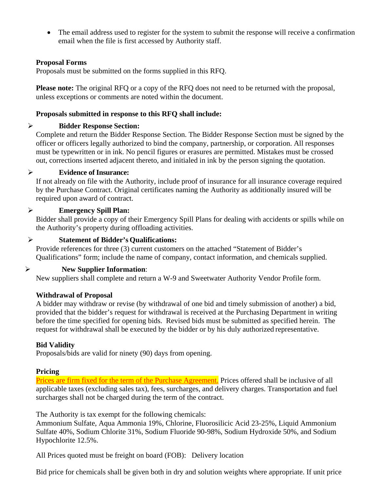• The email address used to register for the system to submit the response will receive a confirmation email when the file is first accessed by Authority staff.

#### **Proposal Forms**

Proposals must be submitted on the forms supplied in this RFQ.

**Please note:** The original RFQ or a copy of the RFQ does not need to be returned with the proposal, unless exceptions or comments are noted within the document.

#### **Proposals submitted in response to this RFQ shall include:**

#### **Bidder Response Section:**

Complete and return the Bidder Response Section. The Bidder Response Section must be signed by the officer or officers legally authorized to bind the company, partnership, or corporation. All responses must be typewritten or in ink. No pencil figures or erasures are permitted. Mistakes must be crossed out, corrections inserted adjacent thereto, and initialed in ink by the person signing the quotation.

#### **Evidence of Insurance:**

If not already on file with the Authority, include proof of insurance for all insurance coverage required by the Purchase Contract. Original certificates naming the Authority as additionally insured will be required upon award of contract.

#### **Emergency Spill Plan:**

Bidder shall provide a copy of their Emergency Spill Plans for dealing with accidents or spills while on the Authority's property during offloading activities.

#### **Statement of Bidder's Qualifications:**

Provide references for three (3) current customers on the attached "Statement of Bidder's Qualifications" form; include the name of company, contact information, and chemicals supplied.

# **New Supplier Information**:

New suppliers shall complete and return a W-9 and Sweetwater Authority Vendor Profile form.

#### **Withdrawal of Proposal**

A bidder may withdraw or revise (by withdrawal of one bid and timely submission of another) a bid, provided that the bidder's request for withdrawal is received at the Purchasing Department in writing before the time specified for opening bids. Revised bids must be submitted as specified herein. The request for withdrawal shall be executed by the bidder or by his duly authorized representative.

#### **Bid Validity**

Proposals/bids are valid for ninety (90) days from opening.

#### **Pricing**

Prices are firm fixed for the term of the Purchase Agreement. Prices offered shall be inclusive of all applicable taxes (excluding sales tax), fees, surcharges, and delivery charges. Transportation and fuel surcharges shall not be charged during the term of the contract.

The Authority is tax exempt for the following chemicals:

Ammonium Sulfate, Aqua Ammonia 19%, Chlorine, Fluorosilicic Acid 23-25%, Liquid Ammonium Sulfate 40%, Sodium Chlorite 31%, Sodium Fluoride 90-98%, Sodium Hydroxide 50%, and Sodium Hypochlorite 12.5%.

All Prices quoted must be freight on board (FOB): Delivery location

Bid price for chemicals shall be given both in dry and solution weights where appropriate. If unit price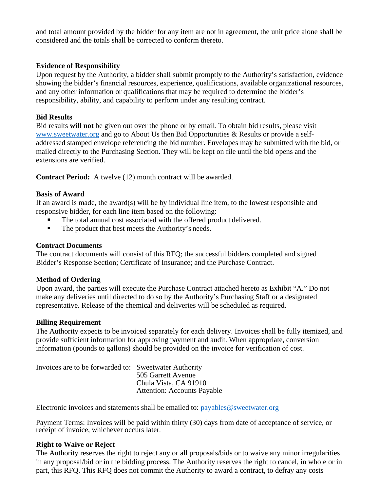and total amount provided by the bidder for any item are not in agreement, the unit price alone shall be considered and the totals shall be corrected to conform thereto.

#### **Evidence of Responsibility**

Upon request by the Authority, a bidder shall submit promptly to the Authority's satisfaction, evidence showing the bidder's financial resources, experience, qualifications, available organizational resources, and any other information or qualifications that may be required to determine the bidder's responsibility, ability, and capability to perform under any resulting contract.

#### **Bid Results**

Bid results **will not** be given out over the phone or by email. To obtain bid results, please visit [www.sweetwater.org](http://www.sweetwater.org/) and go to About Us then Bid Opportunities & Results or provide a selfaddressed stamped envelope referencing the bid number. Envelopes may be submitted with the bid, or mailed directly to the Purchasing Section. They will be kept on file until the bid opens and the extensions are verified.

**Contract Period:** A twelve (12) month contract will be awarded.

#### **Basis of Award**

If an award is made, the award(s) will be by individual line item, to the lowest responsible and responsive bidder, for each line item based on the following:

- The total annual cost associated with the offered product delivered.
- The product that best meets the Authority's needs.

#### **Contract Documents**

The contract documents will consist of this RFQ; the successful bidders completed and signed Bidder's Response Section; Certificate of Insurance; and the Purchase Contract.

#### **Method of Ordering**

Upon award, the parties will execute the Purchase Contract attached hereto as Exhibit "A." Do not make any deliveries until directed to do so by the Authority's Purchasing Staff or a designated representative. Release of the chemical and deliveries will be scheduled as required.

#### **Billing Requirement**

The Authority expects to be invoiced separately for each delivery. Invoices shall be fully itemized, and provide sufficient information for approving payment and audit. When appropriate, conversion information (pounds to gallons) should be provided on the invoice for verification of cost.

Invoices are to be forwarded to: Sweetwater Authority 505 Garrett Avenue Chula Vista, CA 91910 Attention: Accounts Payable

Electronic invoices and statements shall be emailed to:  $payables@sweetwater.org$ 

Payment Terms: Invoices will be paid within thirty (30) days from date of acceptance of service, or receipt of invoice, whichever occurs later.

#### **Right to Waive or Reject**

The Authority reserves the right to reject any or all proposals/bids or to waive any minor irregularities in any proposal/bid or in the bidding process. The Authority reserves the right to cancel, in whole or in part, this RFQ. This RFQ does not commit the Authority to award a contract, to defray any costs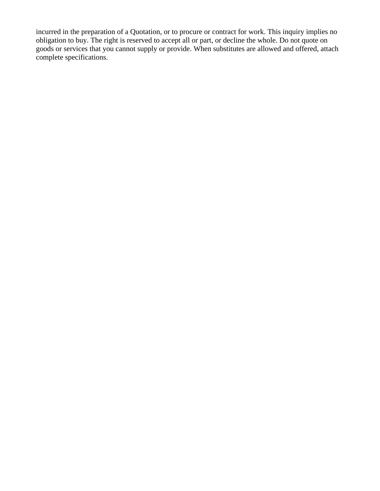incurred in the preparation of a Quotation, or to procure or contract for work. This inquiry implies no obligation to buy. The right is reserved to accept all or part, or decline the whole. Do not quote on goods or services that you cannot supply or provide. When substitutes are allowed and offered, attach complete specifications.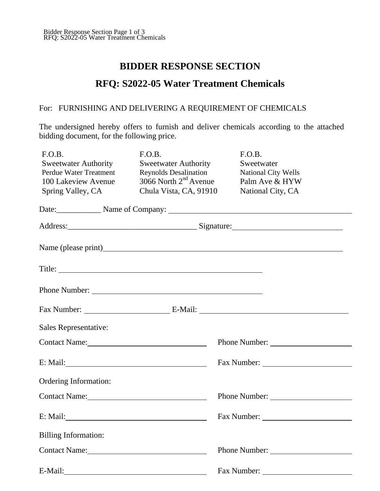# **BIDDER RESPONSE SECTION**

# **RFQ: S2022-05 Water Treatment Chemicals**

### For: FURNISHING AND DELIVERING A REQUIREMENT OF CHEMICALS

The undersigned hereby offers to furnish and deliver chemicals according to the attached bidding document, for the following price.

| F.O.B.                      | F.O.B.                       | F.O.B.                                  |
|-----------------------------|------------------------------|-----------------------------------------|
| <b>Sweetwater Authority</b> | <b>Sweetwater Authority</b>  | Sweetwater                              |
| Perdue Water Treatment      | <b>Reynolds Desalination</b> | National City Wells                     |
| 100 Lakeview Avenue         | 3066 North $2nd$ Avenue      | Palm Ave & HYW                          |
| Spring Valley, CA           | Chula Vista, CA, 91910       | National City, CA                       |
|                             |                              |                                         |
|                             |                              | Date: Name of Company: Name of Company: |
|                             |                              |                                         |
|                             |                              |                                         |
|                             |                              |                                         |
|                             |                              |                                         |
|                             |                              |                                         |
| Sales Representative:       |                              |                                         |
| Contact Name:               |                              |                                         |
|                             |                              |                                         |
| Ordering Information:       |                              |                                         |
| Contact Name:               |                              | Phone Number:                           |
|                             |                              |                                         |
| <b>Billing Information:</b> |                              |                                         |
|                             |                              | Phone Number:                           |
|                             |                              | Fax Number:                             |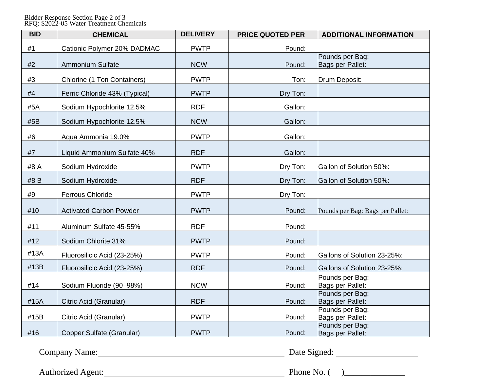#### Bidder Response Section Page 2 of 3 RFQ: S2022-05 Water Treatment Chemicals

| <b>BID</b> | <b>CHEMICAL</b>                | <b>DELIVERY</b> | <b>PRICE QUOTED PER</b> | <b>ADDITIONAL INFORMATION</b>       |
|------------|--------------------------------|-----------------|-------------------------|-------------------------------------|
| #1         | Cationic Polymer 20% DADMAC    | <b>PWTP</b>     | Pound:                  |                                     |
| #2         | <b>Ammonium Sulfate</b>        | <b>NCW</b>      | Pound:                  | Pounds per Bag:<br>Bags per Pallet: |
| #3         | Chlorine (1 Ton Containers)    | <b>PWTP</b>     | Ton:                    | Drum Deposit:                       |
| #4         | Ferric Chloride 43% (Typical)  | <b>PWTP</b>     | Dry Ton:                |                                     |
| #5A        | Sodium Hypochlorite 12.5%      | <b>RDF</b>      | Gallon:                 |                                     |
| #5B        | Sodium Hypochlorite 12.5%      | <b>NCW</b>      | Gallon:                 |                                     |
| #6         | Aqua Ammonia 19.0%             | <b>PWTP</b>     | Gallon:                 |                                     |
| #7         | Liquid Ammonium Sulfate 40%    | <b>RDF</b>      | Gallon:                 |                                     |
| #8 A       | Sodium Hydroxide               | <b>PWTP</b>     | Dry Ton:                | Gallon of Solution 50%:             |
| #8 B       | Sodium Hydroxide               | <b>RDF</b>      | Dry Ton:                | Gallon of Solution 50%:             |
| #9         | <b>Ferrous Chloride</b>        | <b>PWTP</b>     | Dry Ton:                |                                     |
| #10        | <b>Activated Carbon Powder</b> | <b>PWTP</b>     | Pound:                  | Pounds per Bag: Bags per Pallet:    |
| #11        | Aluminum Sulfate 45-55%        | <b>RDF</b>      | Pound:                  |                                     |
| #12        | Sodium Chlorite 31%            | <b>PWTP</b>     | Pound:                  |                                     |
| #13A       | Fluorosilicic Acid (23-25%)    | <b>PWTP</b>     | Pound:                  | Gallons of Solution 23-25%:         |
| #13B       | Fluorosilicic Acid (23-25%)    | <b>RDF</b>      | Pound:                  | Gallons of Solution 23-25%:         |
| #14        | Sodium Fluoride (90-98%)       | <b>NCW</b>      | Pound:                  | Pounds per Bag:<br>Bags per Pallet: |
| #15A       | Citric Acid (Granular)         | <b>RDF</b>      | Pound:                  | Pounds per Bag:<br>Bags per Pallet: |
| #15B       | Citric Acid (Granular)         | <b>PWTP</b>     | Pound:                  | Pounds per Bag:<br>Bags per Pallet: |
| #16        | Copper Sulfate (Granular)      | <b>PWTP</b>     | Pound:                  | Pounds per Bag:<br>Bags per Pallet: |

Company Name: <u>Company Name:</u> Date Signed: Date Signed:

Authorized Agent: Phone No. ( )\_\_\_\_\_\_\_\_\_\_\_\_\_\_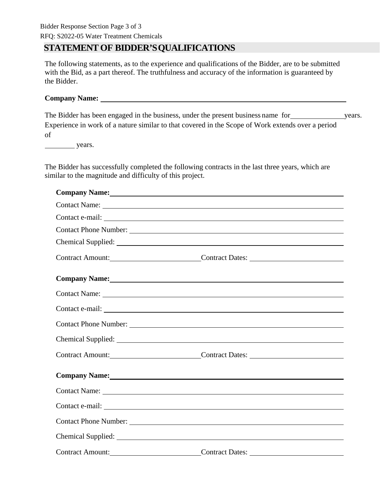### Bidder Response Section Page 3 of 3

RFQ: S2022-05 Water Treatment Chemicals

# **STATEMENT OF BIDDER'SQUALIFICATIONS**

The following statements, as to the experience and qualifications of the Bidder, are to be submitted with the Bid, as a part thereof. The truthfulness and accuracy of the information is guaranteed by the Bidder.

# **Company Name:**

The Bidder has been engaged in the business, under the present business name for years. Experience in work of a nature similar to that covered in the Scope of Work extends over a period of

years.

The Bidder has successfully completed the following contracts in the last three years, which are similar to the magnitude and difficulty of this project.

|                                                                                                                                                                                                                                | Company Name: 1988 Company Name: 1988 Company Name: 1988 Company Name: 1988 Company Name: 1988 Company Name: 1988 Company Name: 1988 Company Name: 1988 Company Name: 1988 Company Name: 1988 Company Oracle 1988 Company Orac |
|--------------------------------------------------------------------------------------------------------------------------------------------------------------------------------------------------------------------------------|--------------------------------------------------------------------------------------------------------------------------------------------------------------------------------------------------------------------------------|
|                                                                                                                                                                                                                                |                                                                                                                                                                                                                                |
|                                                                                                                                                                                                                                |                                                                                                                                                                                                                                |
|                                                                                                                                                                                                                                |                                                                                                                                                                                                                                |
|                                                                                                                                                                                                                                |                                                                                                                                                                                                                                |
|                                                                                                                                                                                                                                | Contract Amount: Contract Dates:                                                                                                                                                                                               |
|                                                                                                                                                                                                                                | Company Name: 1988 Company Name: 1988 Company Name: 1988 Company Name: 1988 Company Name: 1988 Company Name: 1988 Company Name: 1988 Company Name: 1988 Company Name: 1988 Company October 1988 Company October 1989 Company O |
|                                                                                                                                                                                                                                |                                                                                                                                                                                                                                |
|                                                                                                                                                                                                                                |                                                                                                                                                                                                                                |
|                                                                                                                                                                                                                                |                                                                                                                                                                                                                                |
|                                                                                                                                                                                                                                |                                                                                                                                                                                                                                |
|                                                                                                                                                                                                                                | Contract Amount: Contract Dates:                                                                                                                                                                                               |
| Company Name: 1988 Company Name: 1988 Company Name: 1988 Company Name: 1988 Company Name: 1988 Company Name: 1988 Company Name: 1988 Company Name: 1988 Company Name: 1988 Company Name: 1988 Company October 1988 Company Oct |                                                                                                                                                                                                                                |
|                                                                                                                                                                                                                                |                                                                                                                                                                                                                                |
|                                                                                                                                                                                                                                |                                                                                                                                                                                                                                |
|                                                                                                                                                                                                                                |                                                                                                                                                                                                                                |
|                                                                                                                                                                                                                                |                                                                                                                                                                                                                                |
|                                                                                                                                                                                                                                | Contract Amount: Contract Dates:                                                                                                                                                                                               |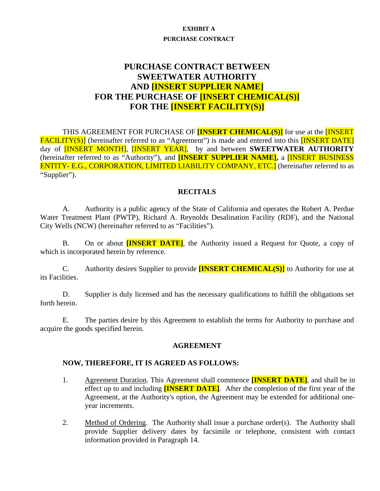#### **EXHIBIT A**

#### **PURCHASE CONTRACT**

# **PURCHASE CONTRACT BETWEEN SWEETWATER AUTHORITY AND [INSERT SUPPLIER NAME] FOR THE PURCHASE OF [INSERT CHEMICAL(S)] FOR THE [INSERT FACILITY(S)]**

THIS AGREEMENT FOR PURCHASE OF **[INSERT CHEMICAL(S)]** for use at the [INSERT FACILITY(S)] (hereinafter referred to as "Agreement") is made and entered into this **[INSERT DATE]** day of [INSERT MONTH], [INSERT YEAR], by and between **SWEETWATER AUTHORITY** (hereinafter referred to as "Authority"), and **[INSERT SUPPLIER NAME],** a [INSERT BUSINESS ENTITY- E.G., CORPORATION, LIMITED LIABILITY COMPANY, ETC.] (hereinafter referred to as "Supplier").

#### **RECITALS**

A. Authority is a public agency of the State of California and operates the Robert A. Perdue Water Treatment Plant (PWTP), Richard A. Reynolds Desalination Facility (RDF), and the National City Wells (NCW) (hereinafter referred to as "Facilities").

B. On or about **[INSERT DATE]**, the Authority issued a Request for Quote, a copy of which is incorporated herein by reference.

C. Authority desires Supplier to provide **[INSERT CHEMICAL(S)]** to Authority for use at its Facilities.

D. Supplier is duly licensed and has the necessary qualifications to fulfill the obligations set forth herein.

E. The parties desire by this Agreement to establish the terms for Authority to purchase and acquire the goods specified herein.

#### **AGREEMENT**

#### **NOW, THEREFORE, IT IS AGREED AS FOLLOWS:**

- 1. Agreement Duration. This Agreement shall commence **[INSERT DATE]**, and shall be in effect up to and including **[INSERT DATE]**. After the completion of the first year of the Agreement, at the Authority's option, the Agreement may be extended for additional oneyear increments.
- 2. Method of Ordering. The Authority shall issue a purchase order(s). The Authority shall provide Supplier delivery dates by facsimile or telephone, consistent with contact information provided in Paragraph 14.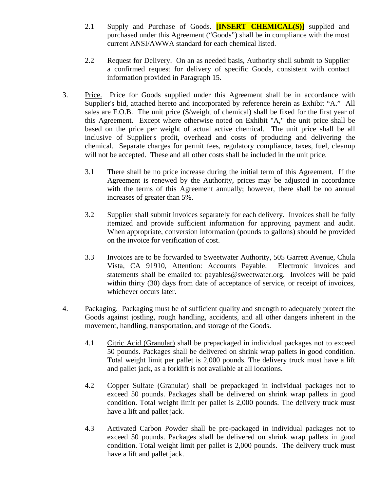- 2.1 Supply and Purchase of Goods. **[INSERT CHEMICAL(S)]** supplied and purchased under this Agreement ("Goods") shall be in compliance with the most current ANSI/AWWA standard for each chemical listed.
- 2.2 Request for Delivery. On an as needed basis, Authority shall submit to Supplier a confirmed request for delivery of specific Goods, consistent with contact information provided in Paragraph 15.
- 3. Price. Price for Goods supplied under this Agreement shall be in accordance with Supplier's bid, attached hereto and incorporated by reference herein as Exhibit "A." All sales are F.O.B. The unit price (\$/weight of chemical) shall be fixed for the first year of this Agreement. Except where otherwise noted on Exhibit "A," the unit price shall be based on the price per weight of actual active chemical. The unit price shall be all inclusive of Supplier's profit, overhead and costs of producing and delivering the chemical. Separate charges for permit fees, regulatory compliance, taxes, fuel, cleanup will not be accepted. These and all other costs shall be included in the unit price.
	- 3.1 There shall be no price increase during the initial term of this Agreement. If the Agreement is renewed by the Authority, prices may be adjusted in accordance with the terms of this Agreement annually; however, there shall be no annual increases of greater than 5%.
	- 3.2 Supplier shall submit invoices separately for each delivery. Invoices shall be fully itemized and provide sufficient information for approving payment and audit. When appropriate, conversion information (pounds to gallons) should be provided on the invoice for verification of cost.
	- 3.3 Invoices are to be forwarded to Sweetwater Authority, 505 Garrett Avenue, Chula Vista, CA 91910, Attention: Accounts Payable. Electronic invoices and statements shall be emailed to: payables@sweetwater.org. Invoices will be paid within thirty (30) days from date of acceptance of service, or receipt of invoices, whichever occurs later.
- 4. Packaging. Packaging must be of sufficient quality and strength to adequately protect the Goods against jostling, rough handling, accidents, and all other dangers inherent in the movement, handling, transportation, and storage of the Goods.
	- 4.1 Citric Acid (Granular) shall be prepackaged in individual packages not to exceed 50 pounds. Packages shall be delivered on shrink wrap pallets in good condition. Total weight limit per pallet is 2,000 pounds. The delivery truck must have a lift and pallet jack, as a forklift is not available at all locations.
	- 4.2 Copper Sulfate (Granular) shall be prepackaged in individual packages not to exceed 50 pounds. Packages shall be delivered on shrink wrap pallets in good condition. Total weight limit per pallet is 2,000 pounds. The delivery truck must have a lift and pallet jack.
	- 4.3 Activated Carbon Powder shall be pre-packaged in individual packages not to exceed 50 pounds. Packages shall be delivered on shrink wrap pallets in good condition. Total weight limit per pallet is 2,000 pounds. The delivery truck must have a lift and pallet jack.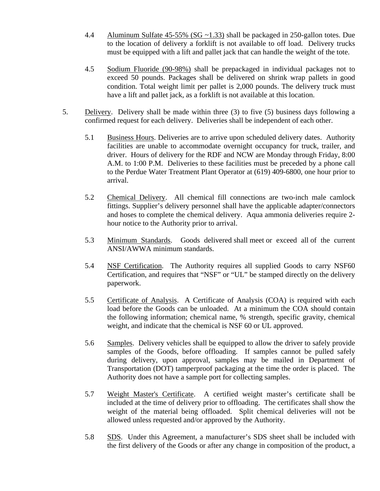- 4.4 Aluminum Sulfate 45-55% (SG ~1.33) shall be packaged in 250-gallon totes. Due to the location of delivery a forklift is not available to off load. Delivery trucks must be equipped with a lift and pallet jack that can handle the weight of the tote.
- 4.5 Sodium Fluoride (90-98%) shall be prepackaged in individual packages not to exceed 50 pounds. Packages shall be delivered on shrink wrap pallets in good condition. Total weight limit per pallet is 2,000 pounds. The delivery truck must have a lift and pallet jack, as a forklift is not available at this location.
- 5. Delivery. Delivery shall be made within three (3) to five (5) business days following a confirmed request for each delivery. Deliveries shall be independent of each other.
	- 5.1 Business Hours. Deliveries are to arrive upon scheduled delivery dates. Authority facilities are unable to accommodate overnight occupancy for truck, trailer, and driver. Hours of delivery for the RDF and NCW are Monday through Friday, 8:00 A.M. to 1:00 P.M. Deliveries to these facilities must be preceded by a phone call to the Perdue Water Treatment Plant Operator at (619) 409-6800, one hour prior to arrival.
	- 5.2 Chemical Delivery. All chemical fill connections are two-inch male camlock fittings. Supplier's delivery personnel shall have the applicable adapter/connectors and hoses to complete the chemical delivery. Aqua ammonia deliveries require 2 hour notice to the Authority prior to arrival.
	- 5.3 Minimum Standards. Goods delivered shall meet or exceed all of the current ANSI/AWWA minimum standards.
	- 5.4 NSF Certification.The Authority requires all supplied Goods to carry NSF60 Certification, and requires that "NSF" or "UL" be stamped directly on the delivery paperwork.
	- 5.5 Certificate of Analysis. A Certificate of Analysis (COA) is required with each load before the Goods can be unloaded. At a minimum the COA should contain the following information; chemical name, % strength, specific gravity, chemical weight, and indicate that the chemical is NSF 60 or UL approved.
	- 5.6 Samples. Delivery vehicles shall be equipped to allow the driver to safely provide samples of the Goods, before offloading. If samples cannot be pulled safely during delivery, upon approval, samples may be mailed in Department of Transportation (DOT) tamperproof packaging at the time the order is placed. The Authority does not have a sample port for collecting samples.
	- 5.7 Weight Master's Certificate. A certified weight master's certificate shall be included at the time of delivery prior to offloading. The certificates shall show the weight of the material being offloaded. Split chemical deliveries will not be allowed unless requested and/or approved by the Authority.
	- 5.8 SDS. Under this Agreement, a manufacturer's SDS sheet shall be included with the first delivery of the Goods or after any change in composition of the product, a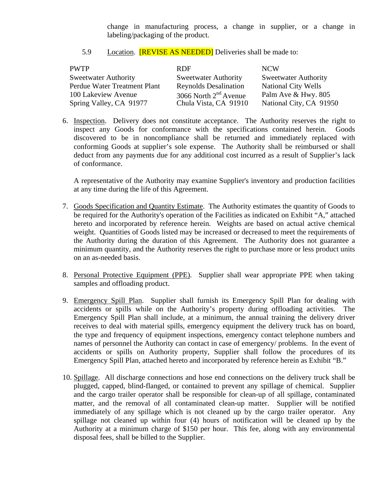change in manufacturing process, a change in supplier, or a change in labeling/packaging of the product.

#### 5.9 Location. **[REVISE AS NEEDED]** Deliveries shall be made to:

| <b>PWTP</b>                  | <b>RDF</b>                   | <b>NCW</b>                  |
|------------------------------|------------------------------|-----------------------------|
| <b>Sweetwater Authority</b>  | <b>Sweetwater Authority</b>  | <b>Sweetwater Authority</b> |
| Perdue Water Treatment Plant | <b>Reynolds Desalination</b> | <b>National City Wells</b>  |
| 100 Lakeview Avenue          | 3066 North $2nd$ Avenue      | Palm Ave & Hwy. 805         |
| Spring Valley, CA 91977      | Chula Vista, CA 91910        | National City, CA 91950     |

6. Inspection. Delivery does not constitute acceptance. The Authority reserves the right to inspect any Goods for conformance with the specifications contained herein. Goods discovered to be in noncompliance shall be returned and immediately replaced with conforming Goods at supplier's sole expense. The Authority shall be reimbursed or shall deduct from any payments due for any additional cost incurred as a result of Supplier's lack of conformance.

A representative of the Authority may examine Supplier's inventory and production facilities at any time during the life of this Agreement.

- 7. Goods Specification and Quantity Estimate. The Authority estimates the quantity of Goods to be required for the Authority's operation of the Facilities as indicated on Exhibit "A," attached hereto and incorporated by reference herein. Weights are based on actual active chemical weight. Quantities of Goods listed may be increased or decreased to meet the requirements of the Authority during the duration of this Agreement. The Authority does not guarantee a minimum quantity, and the Authority reserves the right to purchase more or less product units on an as-needed basis.
- 8. Personal Protective Equipment (PPE). Supplier shall wear appropriate PPE when taking samples and offloading product.
- 9. Emergency Spill Plan. Supplier shall furnish its Emergency Spill Plan for dealing with accidents or spills while on the Authority's property during offloading activities. The Emergency Spill Plan shall include, at a minimum, the annual training the delivery driver receives to deal with material spills, emergency equipment the delivery truck has on board, the type and frequency of equipment inspections, emergency contact telephone numbers and names of personnel the Authority can contact in case of emergency/ problems. In the event of accidents or spills on Authority property, Supplier shall follow the procedures of its Emergency Spill Plan, attached hereto and incorporated by reference herein as Exhibit "B."
- 10. Spillage. All discharge connections and hose end connections on the delivery truck shall be plugged, capped, blind-flanged, or contained to prevent any spillage of chemical. Supplier and the cargo trailer operator shall be responsible for clean-up of all spillage, contaminated matter, and the removal of all contaminated clean-up matter. Supplier will be notified immediately of any spillage which is not cleaned up by the cargo trailer operator. Any spillage not cleaned up within four (4) hours of notification will be cleaned up by the Authority at a minimum charge of \$150 per hour. This fee, along with any environmental disposal fees, shall be billed to the Supplier.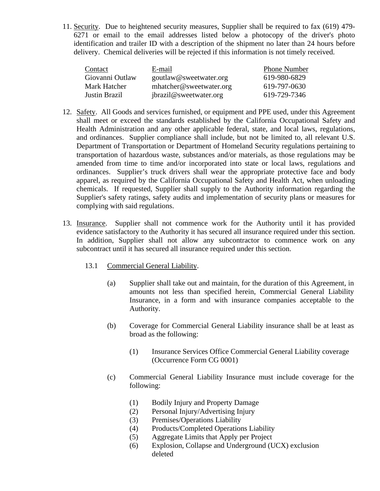11. Security. Due to heightened security measures, Supplier shall be required to fax (619) 479- 6271 or email to the email addresses listed below a photocopy of the driver's photo identification and trailer ID with a description of the shipment no later than 24 hours before delivery. Chemical deliveries will be rejected if this information is not timely received.

| Contact         | E-mail                  | <b>Phone Number</b> |
|-----------------|-------------------------|---------------------|
| Giovanni Outlaw | goutlaw@sweetwater.org  | 619-980-6829        |
| Mark Hatcher    | mhatcher@sweetwater.org | 619-797-0630        |
| Justin Brazil   | jbrazil@sweetwater.org  | 619-729-7346        |

- 12. Safety. All Goods and services furnished, or equipment and PPE used, under this Agreement shall meet or exceed the standards established by the California Occupational Safety and Health Administration and any other applicable federal, state, and local laws, regulations, and ordinances. Supplier compliance shall include, but not be limited to, all relevant U.S. Department of Transportation or Department of Homeland Security regulations pertaining to transportation of hazardous waste, substances and/or materials, as those regulations may be amended from time to time and/or incorporated into state or local laws, regulations and ordinances. Supplier's truck drivers shall wear the appropriate protective face and body apparel, as required by the California Occupational Safety and Health Act, when unloading chemicals. If requested, Supplier shall supply to the Authority information regarding the Supplier's safety ratings, safety audits and implementation of security plans or measures for complying with said regulations.
- 13. Insurance. Supplier shall not commence work for the Authority until it has provided evidence satisfactory to the Authority it has secured all insurance required under this section. In addition, Supplier shall not allow any subcontractor to commence work on any subcontract until it has secured all insurance required under this section.
	- 13.1 Commercial General Liability.
		- (a) Supplier shall take out and maintain, for the duration of this Agreement, in amounts not less than specified herein, Commercial General Liability Insurance, in a form and with insurance companies acceptable to the Authority.
		- (b) Coverage for Commercial General Liability insurance shall be at least as broad as the following:
			- (1) Insurance Services Office Commercial General Liability coverage (Occurrence Form CG 0001)
		- (c) Commercial General Liability Insurance must include coverage for the following:
			- (1) Bodily Injury and Property Damage
			- (2) Personal Injury/Advertising Injury
			- (3) Premises/Operations Liability
			- (4) Products/Completed Operations Liability
			- (5) Aggregate Limits that Apply per Project
			- (6) Explosion, Collapse and Underground (UCX) exclusion deleted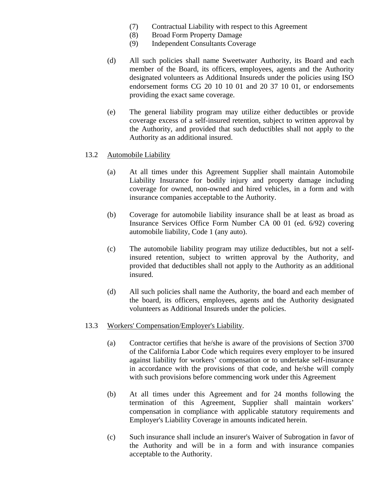- (7) Contractual Liability with respect to this Agreement
- (8) Broad Form Property Damage
- (9) Independent Consultants Coverage
- (d) All such policies shall name Sweetwater Authority, its Board and each member of the Board, its officers, employees, agents and the Authority designated volunteers as Additional Insureds under the policies using ISO endorsement forms CG 20 10 10 01 and 20 37 10 01, or endorsements providing the exact same coverage.
- (e) The general liability program may utilize either deductibles or provide coverage excess of a self-insured retention, subject to written approval by the Authority, and provided that such deductibles shall not apply to the Authority as an additional insured.

#### 13.2 Automobile Liability

- (a) At all times under this Agreement Supplier shall maintain Automobile Liability Insurance for bodily injury and property damage including coverage for owned, non-owned and hired vehicles, in a form and with insurance companies acceptable to the Authority.
- (b) Coverage for automobile liability insurance shall be at least as broad as Insurance Services Office Form Number CA 00 01 (ed. 6/92) covering automobile liability, Code 1 (any auto).
- (c) The automobile liability program may utilize deductibles, but not a selfinsured retention, subject to written approval by the Authority, and provided that deductibles shall not apply to the Authority as an additional insured.
- (d) All such policies shall name the Authority, the board and each member of the board, its officers, employees, agents and the Authority designated volunteers as Additional Insureds under the policies.

#### 13.3 Workers' Compensation/Employer's Liability.

- (a) Contractor certifies that he/she is aware of the provisions of Section 3700 of the California Labor Code which requires every employer to be insured against liability for workers' compensation or to undertake self-insurance in accordance with the provisions of that code, and he/she will comply with such provisions before commencing work under this Agreement
- (b) At all times under this Agreement and for 24 months following the termination of this Agreement, Supplier shall maintain workers' compensation in compliance with applicable statutory requirements and Employer's Liability Coverage in amounts indicated herein.
- (c) Such insurance shall include an insurer's Waiver of Subrogation in favor of the Authority and will be in a form and with insurance companies acceptable to the Authority.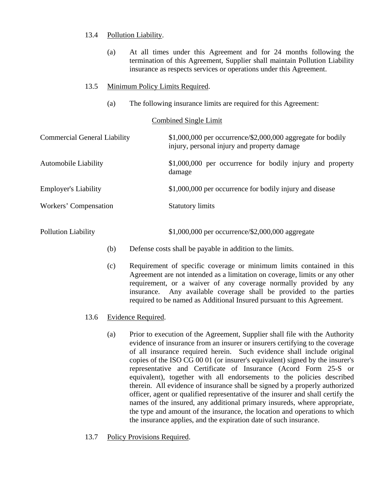#### 13.4 Pollution Liability.

- (a) At all times under this Agreement and for 24 months following the termination of this Agreement, Supplier shall maintain Pollution Liability insurance as respects services or operations under this Agreement.
- 13.5 Minimum Policy Limits Required.
	- (a) The following insurance limits are required for this Agreement:

#### Combined Single Limit

| <b>Commercial General Liability</b> | $$1,000,000$ per occurrence/\$2,000,000 aggregate for bodily<br>injury, personal injury and property damage |
|-------------------------------------|-------------------------------------------------------------------------------------------------------------|
| <b>Automobile Liability</b>         | \$1,000,000 per occurrence for bodily injury and property<br>damage                                         |
| <b>Employer's Liability</b>         | \$1,000,000 per occurrence for bodily injury and disease                                                    |
| Workers' Compensation               | <b>Statutory limits</b>                                                                                     |

Pollution Liability  $$1,000,000$  per occurrence/\$2,000,000 aggregate

- (b) Defense costs shall be payable in addition to the limits.
- (c) Requirement of specific coverage or minimum limits contained in this Agreement are not intended as a limitation on coverage, limits or any other requirement, or a waiver of any coverage normally provided by any insurance. Any available coverage shall be provided to the parties required to be named as Additional Insured pursuant to this Agreement.
- 13.6 Evidence Required.
	- (a) Prior to execution of the Agreement, Supplier shall file with the Authority evidence of insurance from an insurer or insurers certifying to the coverage of all insurance required herein. Such evidence shall include original copies of the ISO CG 00 01 (or insurer's equivalent) signed by the insurer's representative and Certificate of Insurance (Acord Form 25-S or equivalent), together with all endorsements to the policies described therein. All evidence of insurance shall be signed by a properly authorized officer, agent or qualified representative of the insurer and shall certify the names of the insured, any additional primary insureds, where appropriate, the type and amount of the insurance, the location and operations to which the insurance applies, and the expiration date of such insurance.
- 13.7 Policy Provisions Required.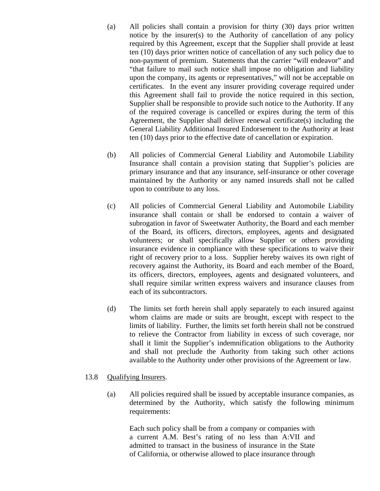- (a) All policies shall contain a provision for thirty (30) days prior written notice by the insurer(s) to the Authority of cancellation of any policy required by this Agreement, except that the Supplier shall provide at least ten (10) days prior written notice of cancellation of any such policy due to non-payment of premium. Statements that the carrier "will endeavor" and "that failure to mail such notice shall impose no obligation and liability upon the company, its agents or representatives," will not be acceptable on certificates. In the event any insurer providing coverage required under this Agreement shall fail to provide the notice required in this section, Supplier shall be responsible to provide such notice to the Authority. If any of the required coverage is cancelled or expires during the term of this Agreement, the Supplier shall deliver renewal certificate(s) including the General Liability Additional Insured Endorsement to the Authority at least ten (10) days prior to the effective date of cancellation or expiration.
- (b) All policies of Commercial General Liability and Automobile Liability Insurance shall contain a provision stating that Supplier's policies are primary insurance and that any insurance, self-insurance or other coverage maintained by the Authority or any named insureds shall not be called upon to contribute to any loss.
- (c) All policies of Commercial General Liability and Automobile Liability insurance shall contain or shall be endorsed to contain a waiver of subrogation in favor of Sweetwater Authority, the Board and each member of the Board, its officers, directors, employees, agents and designated volunteers; or shall specifically allow Supplier or others providing insurance evidence in compliance with these specifications to waive their right of recovery prior to a loss. Supplier hereby waives its own right of recovery against the Authority, its Board and each member of the Board, its officers, directors, employees, agents and designated volunteers, and shall require similar written express waivers and insurance clauses from each of its subcontractors.
- (d) The limits set forth herein shall apply separately to each insured against whom claims are made or suits are brought, except with respect to the limits of liability. Further, the limits set forth herein shall not be construed to relieve the Contractor from liability in excess of such coverage, nor shall it limit the Supplier's indemnification obligations to the Authority and shall not preclude the Authority from taking such other actions available to the Authority under other provisions of the Agreement or law.

#### 13.8 Qualifying Insurers.

(a) All policies required shall be issued by acceptable insurance companies, as determined by the Authority, which satisfy the following minimum requirements:

Each such policy shall be from a company or companies with a current A.M. Best's rating of no less than A:VII and admitted to transact in the business of insurance in the State of California, or otherwise allowed to place insurance through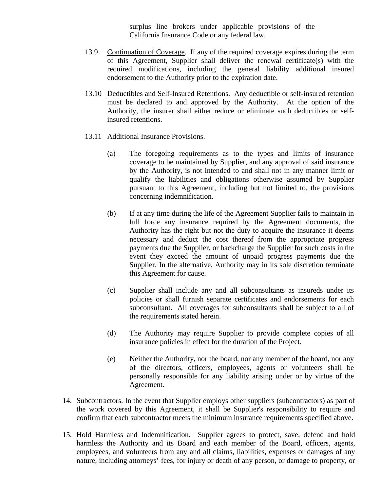surplus line brokers under applicable provisions of the California Insurance Code or any federal law.

- 13.9 Continuation of Coverage. If any of the required coverage expires during the term of this Agreement, Supplier shall deliver the renewal certificate(s) with the required modifications, including the general liability additional insured endorsement to the Authority prior to the expiration date.
- 13.10 Deductibles and Self-Insured Retentions. Any deductible or self-insured retention must be declared to and approved by the Authority. At the option of the Authority, the insurer shall either reduce or eliminate such deductibles or selfinsured retentions.
- 13.11 Additional Insurance Provisions.
	- (a) The foregoing requirements as to the types and limits of insurance coverage to be maintained by Supplier, and any approval of said insurance by the Authority, is not intended to and shall not in any manner limit or qualify the liabilities and obligations otherwise assumed by Supplier pursuant to this Agreement, including but not limited to, the provisions concerning indemnification.
	- (b) If at any time during the life of the Agreement Supplier fails to maintain in full force any insurance required by the Agreement documents, the Authority has the right but not the duty to acquire the insurance it deems necessary and deduct the cost thereof from the appropriate progress payments due the Supplier, or backcharge the Supplier for such costs in the event they exceed the amount of unpaid progress payments due the Supplier. In the alternative, Authority may in its sole discretion terminate this Agreement for cause.
	- (c) Supplier shall include any and all subconsultants as insureds under its policies or shall furnish separate certificates and endorsements for each subconsultant. All coverages for subconsultants shall be subject to all of the requirements stated herein.
	- (d) The Authority may require Supplier to provide complete copies of all insurance policies in effect for the duration of the Project.
	- (e) Neither the Authority, nor the board, nor any member of the board, nor any of the directors, officers, employees, agents or volunteers shall be personally responsible for any liability arising under or by virtue of the Agreement.
- 14. Subcontractors. In the event that Supplier employs other suppliers (subcontractors) as part of the work covered by this Agreement, it shall be Supplier's responsibility to require and confirm that each subcontractor meets the minimum insurance requirements specified above.
- 15. Hold Harmless and Indemnification. Supplier agrees to protect, save, defend and hold harmless the Authority and its Board and each member of the Board, officers, agents, employees, and volunteers from any and all claims, liabilities, expenses or damages of any nature, including attorneys' fees, for injury or death of any person, or damage to property, or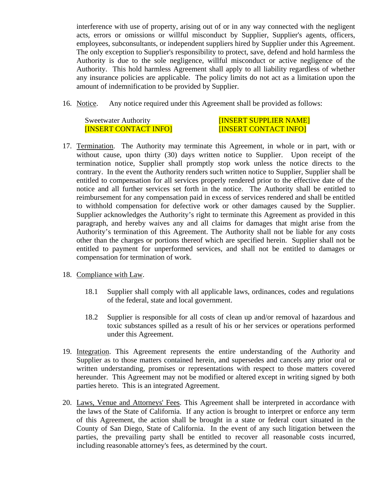interference with use of property, arising out of or in any way connected with the negligent acts, errors or omissions or willful misconduct by Supplier, Supplier's agents, officers, employees, subconsultants, or independent suppliers hired by Supplier under this Agreement. The only exception to Supplier's responsibility to protect, save, defend and hold harmless the Authority is due to the sole negligence, willful misconduct or active negligence of the Authority. This hold harmless Agreement shall apply to all liability regardless of whether any insurance policies are applicable. The policy limits do not act as a limitation upon the amount of indemnification to be provided by Supplier.

16. Notice. Any notice required under this Agreement shall be provided as follows:

Sweetwater Authority **Example 20 INSERT SUPPLIER NAME** [INSERT CONTACT INFO] [INSERT CONTACT INFO]

- 17. Termination. The Authority may terminate this Agreement, in whole or in part, with or without cause, upon thirty (30) days written notice to Supplier. Upon receipt of the termination notice, Supplier shall promptly stop work unless the notice directs to the contrary. In the event the Authority renders such written notice to Supplier, Supplier shall be entitled to compensation for all services properly rendered prior to the effective date of the notice and all further services set forth in the notice. The Authority shall be entitled to reimbursement for any compensation paid in excess of services rendered and shall be entitled to withhold compensation for defective work or other damages caused by the Supplier. Supplier acknowledges the Authority's right to terminate this Agreement as provided in this paragraph, and hereby waives any and all claims for damages that might arise from the Authority's termination of this Agreement. The Authority shall not be liable for any costs other than the charges or portions thereof which are specified herein. Supplier shall not be entitled to payment for unperformed services, and shall not be entitled to damages or compensation for termination of work.
- 18. Compliance with Law.
	- 18.1 Supplier shall comply with all applicable laws, ordinances, codes and regulations of the federal, state and local government.
	- 18.2 Supplier is responsible for all costs of clean up and/or removal of hazardous and toxic substances spilled as a result of his or her services or operations performed under this Agreement.
- 19. Integration. This Agreement represents the entire understanding of the Authority and Supplier as to those matters contained herein, and supersedes and cancels any prior oral or written understanding, promises or representations with respect to those matters covered hereunder. This Agreement may not be modified or altered except in writing signed by both parties hereto. This is an integrated Agreement.
- 20. Laws, Venue and Attorneys' Fees. This Agreement shall be interpreted in accordance with the laws of the State of California. If any action is brought to interpret or enforce any term of this Agreement, the action shall be brought in a state or federal court situated in the County of San Diego, State of California. In the event of any such litigation between the parties, the prevailing party shall be entitled to recover all reasonable costs incurred, including reasonable attorney's fees, as determined by the court.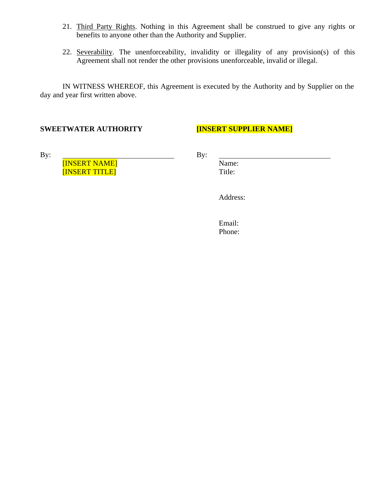- 21. Third Party Rights. Nothing in this Agreement shall be construed to give any rights or benefits to anyone other than the Authority and Supplier.
- 22. Severability. The unenforceability, invalidity or illegality of any provision(s) of this Agreement shall not render the other provisions unenforceable, invalid or illegal.

IN WITNESS WHEREOF, this Agreement is executed by the Authority and by Supplier on the day and year first written above.

#### **SWEETWATER AUTHORITY [INSERT SUPPLIER NAME]**

[INSERT NAME]<br>[INSERT TITLE] Title: Title: [INSERT TITLE]

By:  $\qquad \qquad \qquad \qquad$  By:

Address:

Email: Phone: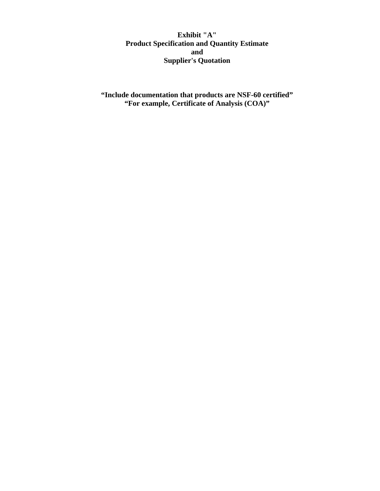**Exhibit "A" Product Specification and Quantity Estimate and Supplier's Quotation**

**"Include documentation that products are NSF-60 certified" "For example, Certificate of Analysis (COA)"**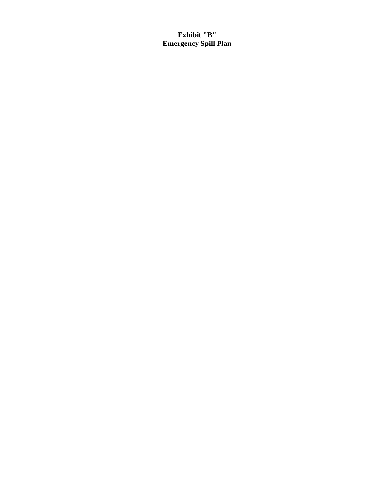**Exhibit "B" Emergency Spill Plan**